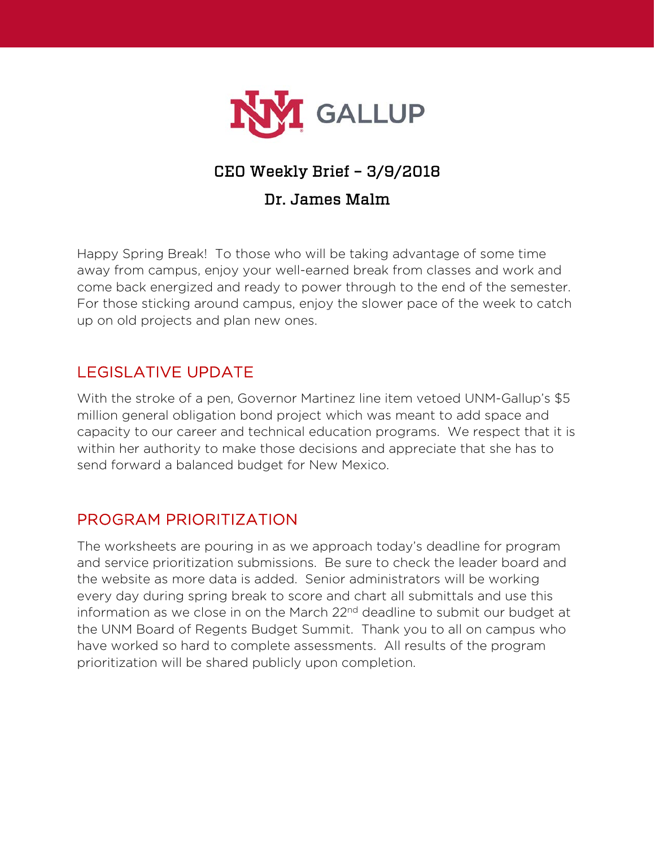

# CEO Weekly Brief – 3/9/2018

#### Dr. James Malm

Happy Spring Break! To those who will be taking advantage of some time away from campus, enjoy your well-earned break from classes and work and come back energized and ready to power through to the end of the semester. For those sticking around campus, enjoy the slower pace of the week to catch up on old projects and plan new ones.

### LEGISLATIVE UPDATE

With the stroke of a pen, Governor Martinez line item vetoed UNM-Gallup's \$5 million general obligation bond project which was meant to add space and capacity to our career and technical education programs. We respect that it is within her authority to make those decisions and appreciate that she has to send forward a balanced budget for New Mexico.

#### PROGRAM PRIORITIZATION

The worksheets are pouring in as we approach today's deadline for program and service prioritization submissions. Be sure to check the leader board and the website as more data is added. Senior administrators will be working every day during spring break to score and chart all submittals and use this information as we close in on the March 22<sup>nd</sup> deadline to submit our budget at the UNM Board of Regents Budget Summit. Thank you to all on campus who have worked so hard to complete assessments. All results of the program prioritization will be shared publicly upon completion.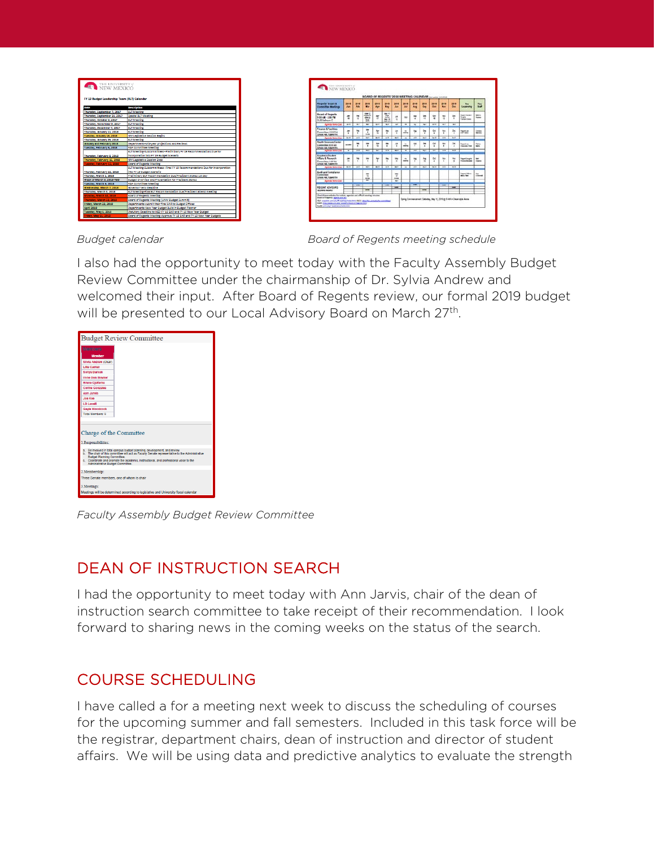| THE UNIVERSITY of                           |                                                                              |
|---------------------------------------------|------------------------------------------------------------------------------|
|                                             |                                                                              |
|                                             |                                                                              |
| FY 19 Budget Leadership Team (BLT) Calendar |                                                                              |
|                                             |                                                                              |
| Date                                        | <b>Description</b>                                                           |
| Thursday, Scotember 7, 2017                 | <b>BLT Meeting</b>                                                           |
| Thursday, September 21, 2017                | Special BLT Meeting                                                          |
| Thursday, October 5, 2017                   | <b>BLT Meeting</b>                                                           |
| Thursday, November 9, 2017                  | <b>BLT Meeting</b>                                                           |
| Thursday, December 7, 2017                  | <b>BLT Meeting</b>                                                           |
| Thursday, January 11, 2018                  | <b>BLT Meeting</b>                                                           |
| Tuesday, January 16, 2018                   | NM Legislative Session Begins                                                |
| Thursday, January 25, 2018                  | <b>BLT Meeting</b>                                                           |
| January and February 2018                   | Departments-Mid-year projections and Reviews                                 |
| Tuesday, February 6, 2018                   | <b>F&amp;F Committee Meeting</b>                                             |
|                                             | BLT Meeting-Subcommittees--Preliminary FY 19 Recommendations Due for         |
| Thursday, February 8, 2018                  | incorporation into FY 19 Budget Scenario                                     |
| Thursday, February 15, 2018                 | NM Legislative Session Ends                                                  |
| Tuesday, February 13, 2018                  | <b>Board of Regents Meeting</b>                                              |
|                                             | BLT Meeting-Subcommittees--Final FY 19 Recommendations Due for incorporation |
| Thurday, February 22, 2018                  | into FY 19 Budget Scenario                                                   |
| Thurday, March 1, 2018                      | Preliminary BLT Recommendation Due/President Stokes 1st day                  |
| Week of March 5, 2018-TBD                   | <b>Budget Overview and Presentation for President Stokes</b>                 |
| Tuesday, March 6, 2018                      | <b>F&amp;F Committee Meeting</b>                                             |
| Wednesday, March 7, 2018                    | Governor Veto Deadline                                                       |
| Thursday, March 8, 2018                     | BLT Meeting-Final BLT Recommendation Due/President attend meeting            |
| Monday, March 12, 2018                      | <b>Board of Regents Meeting</b>                                              |
| Thursday, March 22, 2018                    | Board of Regents Meeting (UNM Budget Summit)                                 |
| Friday, March 23, 2018                      | Departments-submit their final BAR to Budget Offices                         |
| <b>Anril 2018</b>                           | Departments-New Year Budget Build in Budget Planner                          |
| Tuesday, May 1, 2018                        | Statutory Deadline to HED-FY 18 BAR and FY 19 New Year Budget                |
| <b>Friday, May 11, 2018</b>                 | Board of Regents Meeting-Approve FY 18 BAR and FY 19 New Year Budgets        |

THE UNIVERSITY 2020, <mark>2021 2021 2021 2021 20</mark>22 20  $777$ Suard of Kegeria<br>100 AM - 2:00 PM

*Budget calendar Board of Regents meeting schedule*

I also had the opportunity to meet today with the Faculty Assembly Budget Review Committee under the chairmanship of Dr. Sylvia Andrew and welcomed their input. After Board of Regents review, our formal 2019 budget will be presented to our Local Advisory Board on March 27<sup>th</sup>.



*Faculty Assembly Budget Review Committee*

# DEAN OF INSTRUCTION SEARCH

I had the opportunity to meet today with Ann Jarvis, chair of the dean of instruction search committee to take receipt of their recommendation. I look forward to sharing news in the coming weeks on the status of the search.

# COURSE SCHEDULING

I have called a for a meeting next week to discuss the scheduling of courses for the upcoming summer and fall semesters. Included in this task force will be the registrar, department chairs, dean of instruction and director of student affairs. We will be using data and predictive analytics to evaluate the strength